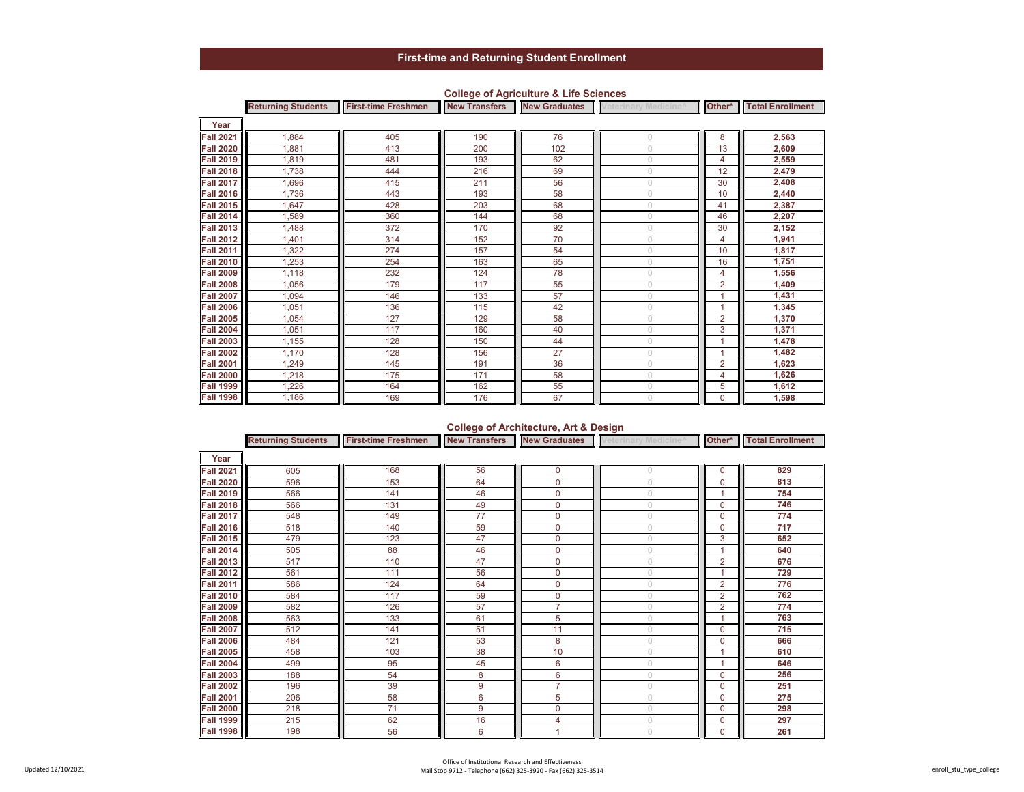|                  | <b>Returning Students</b> |     |     |     | First-time Freshmen New Transfers New Graduates Veterinary Medicine <sup>A</sup> |                | Other* Total Enrollment |
|------------------|---------------------------|-----|-----|-----|----------------------------------------------------------------------------------|----------------|-------------------------|
| Year             |                           |     |     |     |                                                                                  |                |                         |
| <b>Fall 2021</b> | 1,884                     | 405 | 190 | 76  |                                                                                  | 8              | 2,563                   |
| <b>Fall 2020</b> | 1,881                     | 413 | 200 | 102 |                                                                                  | 13             | 2,609                   |
| <b>Fall 2019</b> | 1,819                     | 481 | 193 | 62  | $\cup$                                                                           | $\overline{4}$ | 2,559                   |
| <b>Fall 2018</b> | 1,738                     | 444 | 216 | 69  | 0                                                                                | 12             | 2,479                   |
| <b>Fall 2017</b> | 1.696                     | 415 | 211 | 56  | $\cup$                                                                           | 30             | 2,408                   |
| <b>Fall 2016</b> | 1,736                     | 443 | 193 | 58  | 0                                                                                | 10             | 2,440                   |
| <b>Fall 2015</b> | 1,647                     | 428 | 203 | 68  | $\cup$                                                                           | 41             | 2,387                   |
| <b>Fall 2014</b> | 1,589                     | 360 | 144 | 68  | $\cup$                                                                           | 46             | 2,207                   |
| <b>Fall 2013</b> | 1,488                     | 372 | 170 | 92  | $\cup$                                                                           | 30             | 2,152                   |
| <b>Fall 2012</b> | 1,401                     | 314 | 152 | 70  | 0                                                                                | $\overline{4}$ | 1,941                   |
| <b>Fall 2011</b> | 1,322                     | 274 | 157 | 54  | 0                                                                                | 10             | 1,817                   |
| <b>Fall 2010</b> | 1,253                     | 254 | 163 | 65  | 0                                                                                | 16             | 1,751                   |
| <b>Fall 2009</b> | 1,118                     | 232 | 124 | 78  | $\bigcap$                                                                        | $\overline{4}$ | 1,556                   |
| <b>Fall 2008</b> | 1.056                     | 179 | 117 | 55  | $\cup$                                                                           | $\overline{2}$ | 1,409                   |
| <b>Fall 2007</b> | 1.094                     | 146 | 133 | 57  | $\cup$                                                                           | 1              | 1,431                   |
| <b>Fall 2006</b> | 1,051                     | 136 | 115 | 42  | $\cup$                                                                           | 1              | 1,345                   |
| <b>Fall 2005</b> | 1,054                     | 127 | 129 | 58  | $\circ$                                                                          | $\overline{2}$ | 1,370                   |
| <b>Fall 2004</b> | 1,051                     | 117 | 160 | 40  | $\bigcap$                                                                        | 3              | 1,371                   |
| <b>Fall 2003</b> | 1.155                     | 128 | 150 | 44  | $\cup$                                                                           |                | 1,478                   |
| <b>Fall 2002</b> | 1.170                     | 128 | 156 | 27  | 0                                                                                | 1              | 1,482                   |
| <b>Fall 2001</b> | 1,249                     | 145 | 191 | 36  | $\cup$                                                                           | $\overline{2}$ | 1,623                   |
| <b>Fall 2000</b> | 1,218                     | 175 | 171 | 58  | $\cup$                                                                           | $\overline{4}$ | 1,626                   |
| <b>Fall 1999</b> | 1.226                     | 164 | 162 | 55  | $\cup$                                                                           | 5              | 1,612                   |
| <b>Fall 1998</b> | 1,186                     | 169 | 176 | 67  | $\cup$                                                                           | $\mathbf 0$    | 1,598                   |

### **College of Agriculture & Life Sciences**

## **College of Architecture, Art & Design**

|                     | <b>Returning Students</b> | <b>First-time Freshmen</b> |    |                | <b>New Transfers New Graduates</b> Veterinary Medicine <sup>A</sup> |                | Other*   Total Enrollment |
|---------------------|---------------------------|----------------------------|----|----------------|---------------------------------------------------------------------|----------------|---------------------------|
| Year                |                           |                            |    |                |                                                                     |                |                           |
| <b>Fall 2021</b>    | 605                       | 168                        | 56 | $\Omega$       | $\Omega$                                                            | $\mathbf 0$    | 829                       |
| <b>Fall 2020</b>    | 596                       | 153                        | 64 | $\Omega$       |                                                                     | $\mathbf 0$    | 813                       |
| <b>Fall 2019</b>    | 566                       | 141                        | 46 | 0              | $\bigcap$                                                           |                | 754                       |
| <b>Fall 2018</b>    | 566                       | 131                        | 49 | $\mathbf 0$    | $\bigcap$                                                           | $\mathbf 0$    | 746                       |
| <b>Fall 2017</b>    | 548                       | 149                        | 77 | $\mathbf 0$    | $\cup$                                                              | $\mathbf 0$    | 774                       |
| <b>Fall 2016</b>    | 518                       | 140                        | 59 | $\Omega$       | $\bigcap$                                                           | $\mathbf 0$    | 717                       |
| <b>Fall 2015</b>    | 479                       | 123                        | 47 | $\Omega$       | $\bigcap$                                                           | 3              | 652                       |
| <b>Fall 2014</b>    | 505                       | 88                         | 46 | $\Omega$       | $\bigcap$                                                           | 1              | 640                       |
| <b>Fall 2013   </b> | 517                       | 110                        | 47 | $\Omega$       | $\bigcap$                                                           | $\overline{2}$ | 676                       |
| Fall 2012           | 561                       | 111                        | 56 | $\mathbf 0$    | $\bigcap$                                                           |                | 729                       |
| <b>Fall 2011</b>    | 586                       | 124                        | 64 | $\mathbf 0$    | $\cup$                                                              | $\overline{2}$ | 776                       |
| <b>Fall 2010</b>    | 584                       | 117                        | 59 | $\mathbf 0$    | $\bigcirc$                                                          | $\overline{2}$ | 762                       |
| <b>Fall 2009</b>    | 582                       | 126                        | 57 | $\overline{7}$ | $\bigcap$                                                           | $\overline{2}$ | 774                       |
| <b>Fall 2008</b>    | 563                       | 133                        | 61 | 5              | $\bigcap$                                                           |                | 763                       |
| <b>Fall 2007</b>    | 512                       | 141                        | 51 | 11             | $\cap$                                                              | $\mathbf 0$    | 715                       |
| <b>Fall 2006</b>    | 484                       | 121                        | 53 | 8              | $\bigcap$                                                           | $\mathbf 0$    | 666                       |
| <b>Fall 2005</b>    | 458                       | 103                        | 38 | 10             | $\cup$                                                              |                | 610                       |
| <b>Fall 2004</b>    | 499                       | 95                         | 45 | 6              | $\bigcap$                                                           | 1              | 646                       |
| <b>Fall 2003</b>    | 188                       | 54                         | 8  | 6              | $\bigcap$                                                           | $\mathbf 0$    | 256                       |
| <b>Fall 2002</b>    | 196                       | 39                         | 9  | $\overline{7}$ | $\bigcap$                                                           | $\mathbf 0$    | 251                       |
| <b>Fall 2001</b>    | 206                       | 58                         | 6  | 5              | $\bigcap$                                                           | $\mathbf 0$    | 275                       |
| <b>Fall 2000</b>    | 218                       | 71                         | 9  | $\mathbf 0$    | $\circ$                                                             | $\mathbf 0$    | 298                       |
| <b>Fall 1999</b>    | 215                       | 62                         | 16 | 4              | $\bigcap$                                                           | $\mathbf 0$    | 297                       |
| <b>Fall 1998</b>    | 198                       | 56                         | 6  |                | $\cup$                                                              | $\Omega$       | 261                       |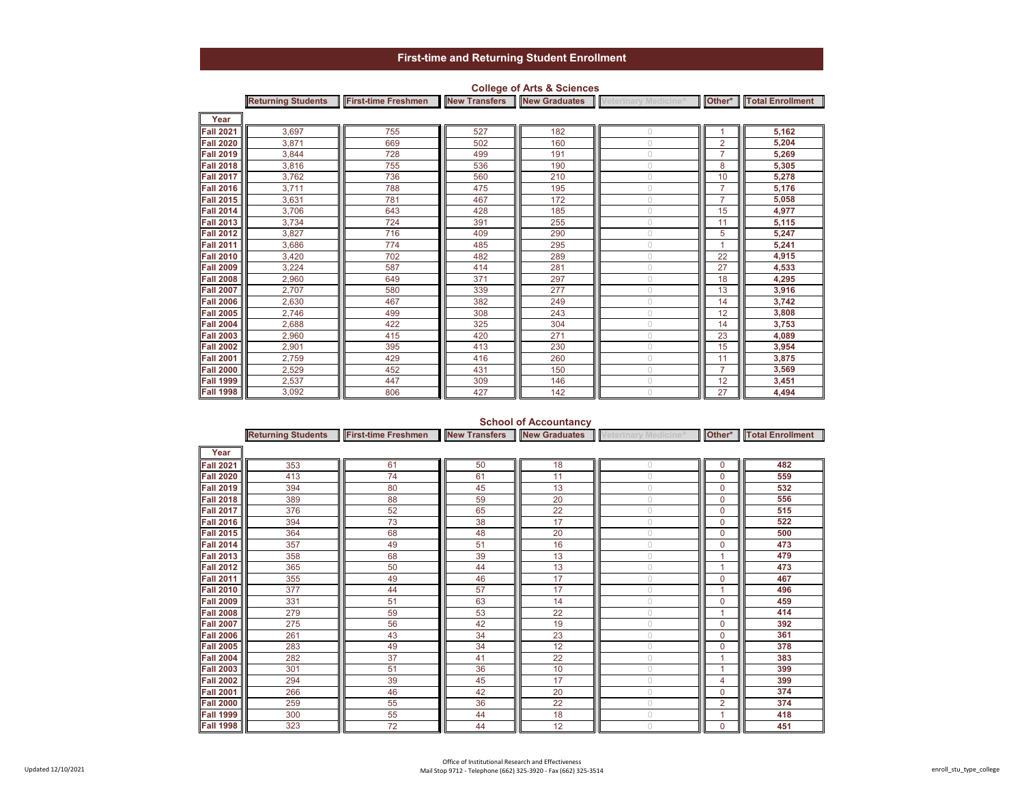|                  | <b>Returning Students</b> | <b>First-time Freshmen</b> |     | <b>New Transfers New Graduates</b> | Veterinary Medicine <sup>^</sup> |                | Other*   Total Enrollment |
|------------------|---------------------------|----------------------------|-----|------------------------------------|----------------------------------|----------------|---------------------------|
| Year             |                           |                            |     |                                    |                                  |                |                           |
| <b>Fall 2021</b> | 3,697                     | 755                        | 527 | 182                                | $\bigcap$                        |                | 5,162                     |
| <b>Fall 2020</b> | 3,871                     | 669                        | 502 | 160                                | $\cup$                           | 2              | 5,204                     |
| <b>Fall 2019</b> | 3,844                     | 728                        | 499 | 191                                | $\bigcap$                        | $\overline{7}$ | 5,269                     |
| <b>Fall 2018</b> | 3,816                     | 755                        | 536 | 190                                | $\bigcap$                        | 8              | 5,305                     |
| <b>Fall 2017</b> | 3,762                     | 736                        | 560 | 210                                | $\bigcap$                        | 10             | 5,278                     |
| <b>Fall 2016</b> | 3,711                     | 788                        | 475 | 195                                | $\cap$                           | $\overline{7}$ | 5,176                     |
| <b>Fall 2015</b> | 3,631                     | 781                        | 467 | 172                                | $\cup$                           | $\overline{7}$ | 5,058                     |
| <b>Fall 2014</b> | 3,706                     | 643                        | 428 | 185                                | $\bigcap$                        | 15             | 4,977                     |
| <b>Fall 2013</b> | 3,734                     | 724                        | 391 | 255                                | $\cap$                           | 11             | 5,115                     |
| <b>Fall 2012</b> | 3,827                     | 716                        | 409 | 290                                | $\cup$                           | 5              | 5,247                     |
| <b>Fall 2011</b> | 3,686                     | 774                        | 485 | 295                                | $\bigcap$                        |                | 5,241                     |
| <b>Fall 2010</b> | 3,420                     | 702                        | 482 | 289                                | $\cup$                           | 22             | 4,915                     |
| <b>Fall 2009</b> | 3,224                     | 587                        | 414 | 281                                | $\bigcap$                        | 27             | 4,533                     |
| <b>Fall 2008</b> | 2,960                     | 649                        | 371 | 297                                | $\bigcap$                        | 18             | 4,295                     |
| <b>Fall 2007</b> | 2,707                     | 580                        | 339 | 277                                | $\bigcap$                        | 13             | 3,916                     |
| <b>Fall 2006</b> | 2,630                     | 467                        | 382 | 249                                | $\cap$                           | 14             | 3,742                     |
| <b>Fall 2005</b> | 2,746                     | 499                        | 308 | 243                                | $\cup$                           | 12             | 3,808                     |
| <b>Fall 2004</b> | 2,688                     | 422                        | 325 | 304                                | $\cup$                           | 14             | 3,753                     |
| <b>Fall 2003</b> | 2,960                     | 415                        | 420 | 271                                | $\bigcap$                        | 23             | 4,089                     |
| <b>Fall 2002</b> | 2,901                     | 395                        | 413 | 230                                | $\bigcap$                        | 15             | 3,954                     |
| <b>Fall 2001</b> | 2,759                     | 429                        | 416 | 260                                | $\bigcap$                        | 11             | 3,875                     |
| <b>Fall 2000</b> | 2,529                     | 452                        | 431 | 150                                | $\bigcap$                        | $\overline{7}$ | 3,569                     |
| <b>Fall 1999</b> | 2,537                     | 447                        | 309 | 146                                | $\bigcap$                        | 12             | 3,451                     |
| <b>Fall 1998</b> | 3,092                     | 806                        | 427 | 142                                | $\cup$                           | 27             | 4.494                     |

### **College of Arts & Sciences**

### **School of Accountancy**

|                  | <b>Returning Students</b> | <b>First-time Freshmen</b> | <b>New Transfers</b> | <b>New Graduates</b> | Veterinary Medicine <sup>^</sup> |                | <b>Other*</b> Total Enrollment |
|------------------|---------------------------|----------------------------|----------------------|----------------------|----------------------------------|----------------|--------------------------------|
| Year             |                           |                            |                      |                      |                                  |                |                                |
| <b>Fall 2021</b> | 353                       | 61                         | 50                   | 18                   | $\bigcirc$                       | 0              | 482                            |
| <b>Fall 2020</b> | 413                       | 74                         | 61                   | 11                   | $\cup$                           | 0              | 559                            |
| <b>Fall 2019</b> | 394                       | 80                         | 45                   | 13                   | $\bigcirc$                       | 0              | 532                            |
| <b>Fall 2018</b> | 389                       | 88                         | 59                   | 20                   | $\cup$                           | 0              | 556                            |
| <b>Fall 2017</b> | 376                       | 52                         | 65                   | 22                   | $\cup$                           | 0              | 515                            |
| <b>Fall 2016</b> | 394                       | 73                         | 38                   | 17                   | $\bigcirc$                       | 0              | 522                            |
| <b>Fall 2015</b> | 364                       | 68                         | 48                   | 20                   | $\circ$                          | 0              | 500                            |
| <b>Fall 2014</b> | 357                       | 49                         | 51                   | 16                   | $\bigcirc$                       | 0              | 473                            |
| <b>Fall 2013</b> | 358                       | 68                         | 39                   | 13                   | $\cup$                           |                | 479                            |
| <b>Fall 2012</b> | 365                       | 50                         | 44                   | 13                   | $\cup$                           |                | 473                            |
| <b>Fall 2011</b> | 355                       | 49                         | 46                   | 17                   | $\cup$                           | 0              | 467                            |
| <b>Fall 2010</b> | 377                       | 44                         | 57                   | 17                   | $\circ$                          |                | 496                            |
| <b>Fall 2009</b> | 331                       | 51                         | 63                   | 14                   | $\bigcirc$                       | 0              | 459                            |
| <b>Fall 2008</b> | 279                       | 59                         | 53                   | 22                   |                                  |                | 414                            |
| <b>Fall 2007</b> | 275                       | 56                         | 42                   | 19                   | $\bigcirc$                       | 0              | 392                            |
| <b>Fall 2006</b> | 261                       | 43                         | 34                   | 23                   | $\cup$                           | 0              | 361                            |
| <b>Fall 2005</b> | 283                       | 49                         | 34                   | 12                   | $\cup$                           | 0              | 378                            |
| <b>Fall 2004</b> | 282                       | 37                         | 41                   | 22                   | $\cup$                           |                | 383                            |
| <b>Fall 2003</b> | 301                       | 51                         | 36                   | 10                   | $\bigcap$                        |                | 399                            |
| <b>Fall 2002</b> | 294                       | 39                         | 45                   | 17                   | $\bigcirc$                       | 4              | 399                            |
| <b>Fall 2001</b> | 266                       | 46                         | 42                   | 20                   | $\circ$                          | 0              | 374                            |
| <b>Fall 2000</b> | 259                       | 55                         | 36                   | 22                   | $\cup$                           | $\overline{2}$ | 374                            |
| <b>Fall 1999</b> | 300                       | 55                         | 44                   | 18                   | $\cup$                           |                | 418                            |
| <b>Fall 1998</b> | 323                       | 72                         | 44                   | 12                   |                                  | 0              | 451                            |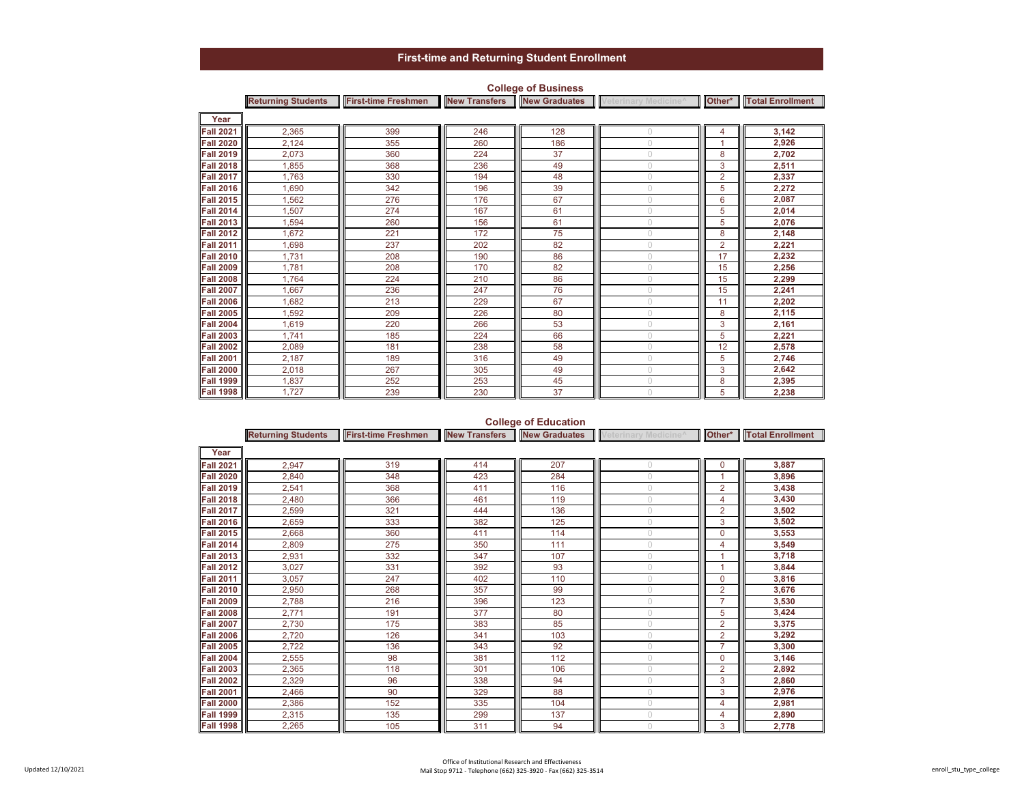|                      | <b>Returning Students</b> | <b>First-time Freshmen</b> | <b>New Transfers</b> | <b>New Graduates</b> | Veterinary Medicine <sup>^</sup> |                | Other*   Total Enrollment |
|----------------------|---------------------------|----------------------------|----------------------|----------------------|----------------------------------|----------------|---------------------------|
| Year                 |                           |                            |                      |                      |                                  |                |                           |
| <b>Fall 2021</b>     | 2,365                     | 399                        | 246                  | 128                  | $\bigcap$                        | 4              | 3,142                     |
| <b>Fall 2020</b>     | 2,124                     | 355                        | 260                  | 186                  | $\cup$                           |                | 2,926                     |
| <b>Fall 2019</b>     | 2,073                     | 360                        | 224                  | 37                   | $\bigcap$                        | 8              | 2,702                     |
| <b>Fall 2018</b>     | 1,855                     | 368                        | 236                  | 49                   | $\bigcap$                        | 3              | 2,511                     |
| <b>Fall 2017</b>     | 1.763                     | 330                        | 194                  | 48                   | $\bigcirc$                       | $\overline{2}$ | 2,337                     |
| <b>Fall 2016</b>     | 1.690                     | 342                        | 196                  | 39                   | $\bigcirc$                       | 5              | 2,272                     |
| <b>Fall 2015</b>     | 1,562                     | 276                        | 176                  | 67                   | $\cup$                           | 6              | 2,087                     |
| <b>Fall 2014</b>     | 1,507                     | 274                        | 167                  | 61                   | $\cup$                           | 5              | 2,014                     |
| <b>Fall 2013</b>     | 1,594                     | 260                        | 156                  | 61                   | $\bigcap$                        | 5              | 2,076                     |
| <b>Fall 2012</b>     | 1,672                     | 221                        | 172                  | 75                   | $\bigcirc$                       | 8              | 2,148                     |
| <b>Fall 2011</b>     | 1,698                     | 237                        | 202                  | 82                   | $\bigcap$                        | $\overline{2}$ | 2,221                     |
| <b>Fall 2010</b>     | 1,731                     | 208                        | 190                  | 86                   | $\cup$                           | 17             | 2,232                     |
| <b>Fall 2009</b>     | 1,781                     | 208                        | 170                  | 82                   | $\bigcirc$                       | 15             | 2,256                     |
| <b>Fall 2008</b>     | 1.764                     | 224                        | 210                  | 86                   | $\bigcap$                        | 15             | 2,299                     |
| <b>Fall 2007</b>     | 1,667                     | 236                        | 247                  | 76                   | $\bigcap$                        | 15             | 2,241                     |
| <b>Fall 2006</b>     | 1,682                     | 213                        | 229                  | 67                   | $\bigcap$                        | 11             | 2,202                     |
| <b>Fall 2005</b>     | 1.592                     | 209                        | 226                  | 80                   | $\cup$                           | 8              | 2,115                     |
| <b>Fall 2004</b>     | 1,619                     | 220                        | 266                  | 53                   | $\bigcirc$                       | 3              | 2,161                     |
| <b>Fall 2003</b>     | 1.741                     | 185                        | 224                  | 66                   | $\bigcap$                        | 5              | 2,221                     |
| <b>Fall 2002</b>     | 2,089                     | 181                        | 238                  | 58                   | $\bigcap$                        | 12             | 2,578                     |
| <b>Fall 2001</b>     | 2,187                     | 189                        | 316                  | 49                   | $\cup$                           | 5              | 2,746                     |
| <b>Fall 2000</b>     | 2,018                     | 267                        | 305                  | 49                   | $\cup$                           | 3              | 2,642                     |
| <b>Fall 1999</b>     | 1,837                     | 252                        | 253                  | 45                   | $\bigcirc$                       | 8              | 2,395                     |
| <b>Fall 1998 III</b> | 1,727                     | 239                        | 230                  | 37                   | $\bigcirc$                       | 5              | 2.238                     |

### **College of Business**

## **College of Education**

|                     | <b>Returning Students</b> | <b>First-time Freshmen</b> | <b>New Transfers</b> |     | New Graduates Veterinary Medicine <sup>^</sup> |                | Other*   Total Enrollment |
|---------------------|---------------------------|----------------------------|----------------------|-----|------------------------------------------------|----------------|---------------------------|
| Year                |                           |                            |                      |     |                                                |                |                           |
| <b>Fall 2021</b>    | 2,947                     | 319                        | 414                  | 207 |                                                | $\mathbf 0$    | 3,887                     |
| <b>Fall 2020</b>    | 2,840                     | 348                        | 423                  | 284 |                                                | 1              | 3,896                     |
| <b>Fall 2019</b>    | 2,541                     | 368                        | 411                  | 116 |                                                | $\overline{2}$ | 3,438                     |
| <b>Fall 2018</b>    | 2,480                     | 366                        | 461                  | 119 | $\bigcap$                                      | 4              | 3,430                     |
| <b>Fall 2017</b>    | 2,599                     | 321                        | 444                  | 136 | $\cup$                                         | $\overline{2}$ | 3,502                     |
| <b>Fall 2016</b>    | 2,659                     | 333                        | 382                  | 125 | $\cup$                                         | 3              | 3,502                     |
| <b>Fall 2015</b>    | 2,668                     | 360                        | 411                  | 114 | $\bigcirc$                                     | $\mathbf 0$    | 3,553                     |
| <b>Fall 2014</b>    | 2,809                     | 275                        | 350                  | 111 |                                                | 4              | 3,549                     |
| <b>Fall 2013</b>    | 2,931                     | 332                        | 347                  | 107 |                                                |                | 3,718                     |
| <b>Fall 2012</b>    | 3,027                     | 331                        | 392                  | 93  | $\cup$                                         | 1              | 3,844                     |
| <b>Fall 2011</b>    | 3,057                     | 247                        | 402                  | 110 | $\cup$                                         | $\mathbf 0$    | 3,816                     |
| <b>Fall 2010</b>    | 2,950                     | 268                        | 357                  | 99  | $\cup$                                         | $\overline{2}$ | 3,676                     |
| <b>Fall 2009</b>    | 2,788                     | 216                        | 396                  | 123 |                                                | $\overline{7}$ | 3,530                     |
| <b>Fall 2008</b>    | 2,771                     | 191                        | 377                  | 80  |                                                | 5              | 3,424                     |
| <b>Fall 2007</b>    | 2,730                     | 175                        | 383                  | 85  | $\cup$                                         | $\overline{2}$ | 3,375                     |
| <b>Fall 2006</b>    | 2,720                     | 126                        | 341                  | 103 | $\cup$                                         | $\overline{2}$ | 3,292                     |
| <b>Fall 2005</b>    | 2,722                     | 136                        | 343                  | 92  | $\bigcirc$                                     | $\overline{7}$ | 3,300                     |
| <b>Fall 2004</b>    | 2,555                     | 98                         | 381                  | 112 | $\cup$                                         | $\mathbf 0$    | 3,146                     |
| <b>Fall 2003</b>    | 2,365                     | 118                        | 301                  | 106 |                                                | $\overline{2}$ | 2,892                     |
| <b>Fall 2002</b>    | 2,329                     | 96                         | 338                  | 94  | $\cup$                                         | 3              | 2,860                     |
| <b>Fall 2001</b>    | 2,466                     | 90                         | 329                  | 88  | $\cup$                                         | 3              | 2,976                     |
| <b>Fall 2000</b>    | 2,386                     | 152                        | 335                  | 104 | $\bigcirc$                                     | 4              | 2,981                     |
| <b>Fall 1999</b>    | 2,315                     | 135                        | 299                  | 137 | $\cup$                                         | 4              | 2,890                     |
| <b>Fall 1998   </b> | 2,265                     | 105                        | 311                  | 94  |                                                | 3              | 2,778                     |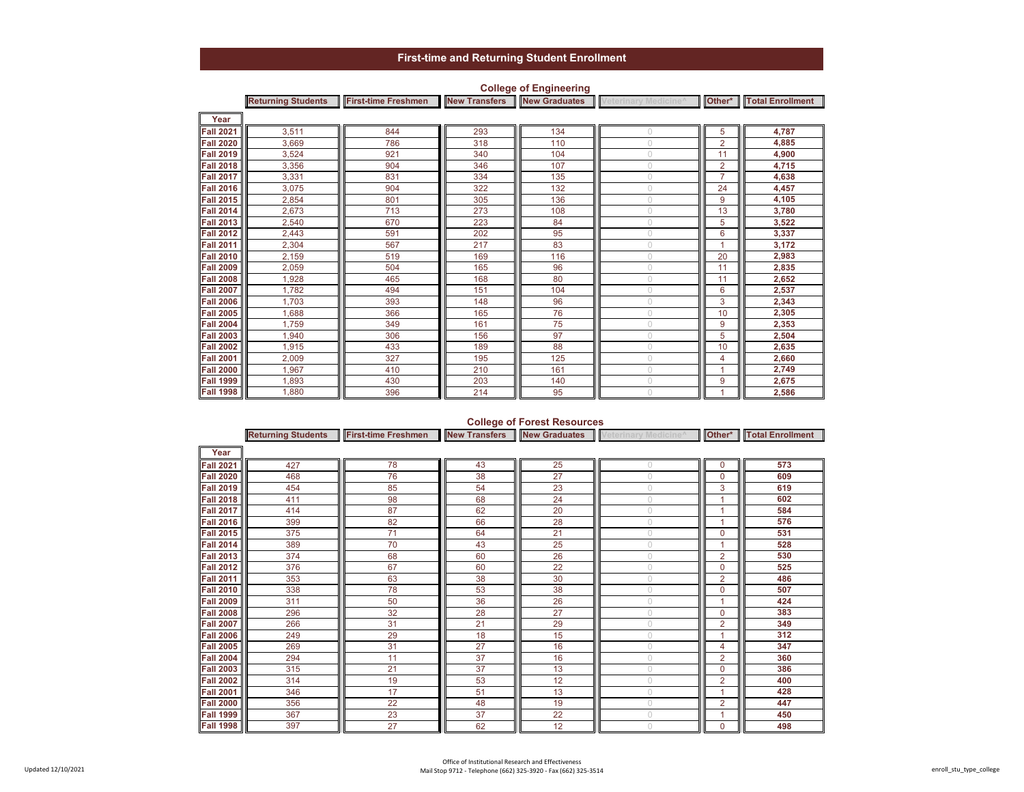|                  | <b>Returning Students</b> | <b>First-time Freshmen</b> |     | <b>New Transfers New Graduates</b> | Veterinary Medicine <sup>^</sup> |                | Other*   Total Enrollment |
|------------------|---------------------------|----------------------------|-----|------------------------------------|----------------------------------|----------------|---------------------------|
| Year             |                           |                            |     |                                    |                                  |                |                           |
| <b>Fall 2021</b> | 3,511                     | 844                        | 293 | 134                                | $\bigcap$                        | 5              | 4,787                     |
| <b>Fall 2020</b> | 3,669                     | 786                        | 318 | 110                                | $\cup$                           | $\overline{2}$ | 4,885                     |
| <b>Fall 2019</b> | 3,524                     | 921                        | 340 | 104                                | $\bigcap$                        | 11             | 4,900                     |
| <b>Fall 2018</b> | 3,356                     | 904                        | 346 | 107                                | $\bigcap$                        | 2              | 4,715                     |
| <b>Fall 2017</b> | 3,331                     | 831                        | 334 | 135                                | $\bigcap$                        | $\overline{7}$ | 4,638                     |
| <b>Fall 2016</b> | 3,075                     | 904                        | 322 | 132                                | $\bigcap$                        | 24             | 4,457                     |
| <b>Fall 2015</b> | 2,854                     | 801                        | 305 | 136                                | $\cup$                           | 9              | 4,105                     |
| <b>Fall 2014</b> | 2,673                     | 713                        | 273 | 108                                | $\bigcap$                        | 13             | 3,780                     |
| <b>Fall 2013</b> | 2,540                     | 670                        | 223 | 84                                 | $\bigcap$                        | 5              | 3,522                     |
| <b>Fall 2012</b> | 2,443                     | 591                        | 202 | 95                                 | $\bigcap$                        | 6              | 3,337                     |
| <b>Fall 2011</b> | 2,304                     | 567                        | 217 | 83                                 | $\bigcap$                        |                | 3,172                     |
| <b>Fall 2010</b> | 2,159                     | 519                        | 169 | 116                                | $\cup$                           | 20             | 2,983                     |
| <b>Fall 2009</b> | 2,059                     | 504                        | 165 | 96                                 | $\bigcap$                        | 11             | 2,835                     |
| <b>Fall 2008</b> | 1.928                     | 465                        | 168 | 80                                 | O.                               | 11             | 2,652                     |
| <b>Fall 2007</b> | 1.782                     | 494                        | 151 | 104                                | $\bigcap$                        | 6              | 2,537                     |
| <b>Fall 2006</b> | 1.703                     | 393                        | 148 | 96                                 | $\cap$                           | 3              | 2,343                     |
| <b>Fall 2005</b> | 1,688                     | 366                        | 165 | 76                                 | $\cup$                           | 10             | 2,305                     |
| <b>Fall 2004</b> | 1.759                     | 349                        | 161 | 75                                 | $\bigcap$                        | 9              | 2,353                     |
| <b>Fall 2003</b> | 1.940                     | 306                        | 156 | 97                                 | $\bigcap$                        | 5              | 2,504                     |
| <b>Fall 2002</b> | 1,915                     | 433                        | 189 | 88                                 | $\cap$                           | 10             | 2,635                     |
| <b>Fall 2001</b> | 2,009                     | 327                        | 195 | 125                                | $\bigcap$                        | 4              | 2,660                     |
| <b>Fall 2000</b> | 1,967                     | 410                        | 210 | 161                                | $\cup$                           |                | 2,749                     |
| <b>Fall 1999</b> | 1.893                     | 430                        | 203 | 140                                | $\bigcap$                        | 9              | 2,675                     |
| <b>Fall 1998</b> | 1.880                     | 396                        | 214 | 95                                 | $\cup$                           |                | 2.586                     |

### **College of Engineering**

## **College of Forest Resources**

|                  | <b>Returning Students</b> | <b>First-time Freshmen</b> | <b>New Transfers</b> |    | <b>New Graduates</b> Veterinary Medicine <sup>^</sup> |                | Other*   Total Enrollment |
|------------------|---------------------------|----------------------------|----------------------|----|-------------------------------------------------------|----------------|---------------------------|
| Year             |                           |                            |                      |    |                                                       |                |                           |
| <b>Fall 2021</b> | 427                       | 78                         | 43                   | 25 | $\bigcap$                                             | 0              | 573                       |
| <b>Fall 2020</b> | 468                       | 76                         | 38                   | 27 | $\bigcap$                                             | 0              | 609                       |
| <b>Fall 2019</b> | 454                       | 85                         | 54                   | 23 | $\bigcap$                                             | 3              | 619                       |
| <b>Fall 2018</b> | 411                       | 98                         | 68                   | 24 | $\bigcirc$                                            |                | 602                       |
| <b>Fall 2017</b> | 414                       | 87                         | 62                   | 20 | $\bigcirc$                                            |                | 584                       |
| <b>Fall 2016</b> | 399                       | 82                         | 66                   | 28 | $\bigcirc$                                            |                | 576                       |
| <b>Fall 2015</b> | 375                       | 71                         | 64                   | 21 | $\cup$                                                | 0              | 531                       |
| <b>Fall 2014</b> | 389                       | 70                         | 43                   | 25 | $\cup$                                                |                | 528                       |
| <b>Fall 2013</b> | 374                       | 68                         | 60                   | 26 | $\cup$                                                | $\overline{2}$ | 530                       |
| <b>Fall 2012</b> | 376                       | 67                         | 60                   | 22 | $\cup$                                                | $\mathbf 0$    | 525                       |
| <b>Fall 2011</b> | 353                       | 63                         | 38                   | 30 | $\bigcap$                                             | 2              | 486                       |
| <b>Fall 2010</b> | 338                       | 78                         | 53                   | 38 | $\bigcap$                                             | 0              | 507                       |
| <b>Fall 2009</b> | 311                       | 50                         | 36                   | 26 | $\bigcap$                                             |                | 424                       |
| <b>Fall 2008</b> | 296                       | 32                         | 28                   | 27 | $\bigcap$                                             | $\Omega$       | 383                       |
| <b>Fall 2007</b> | 266                       | 31                         | 21                   | 29 | $\bigcirc$                                            | $\overline{2}$ | 349                       |
| <b>Fall 2006</b> | 249                       | 29                         | 18                   | 15 | $\bigcirc$                                            | 1              | 312                       |
| <b>Fall 2005</b> | 269                       | 31                         | 27                   | 16 | $\cup$                                                | 4              | 347                       |
| <b>Fall 2004</b> | 294                       | 11                         | 37                   | 16 | $\circ$                                               | $\overline{2}$ | 360                       |
| <b>Fall 2003</b> | 315                       | 21                         | 37                   | 13 | $\bigcirc$                                            | $\mathbf 0$    | 386                       |
| <b>Fall 2002</b> | 314                       | 19                         | 53                   | 12 | $\circ$                                               | $\overline{2}$ | 400                       |
| <b>Fall 2001</b> | 346                       | 17                         | 51                   | 13 | $\bigcirc$                                            |                | 428                       |
| <b>Fall 2000</b> | 356                       | 22                         | 48                   | 19 | $\bigcap$                                             | $\overline{2}$ | 447                       |
| <b>Fall 1999</b> | 367                       | 23                         | 37                   | 22 | $\circ$                                               |                | 450                       |
| <b>Fall 1998</b> | 397                       | 27                         | 62                   | 12 | $\bigcirc$                                            | $\mathbf 0$    | 498                       |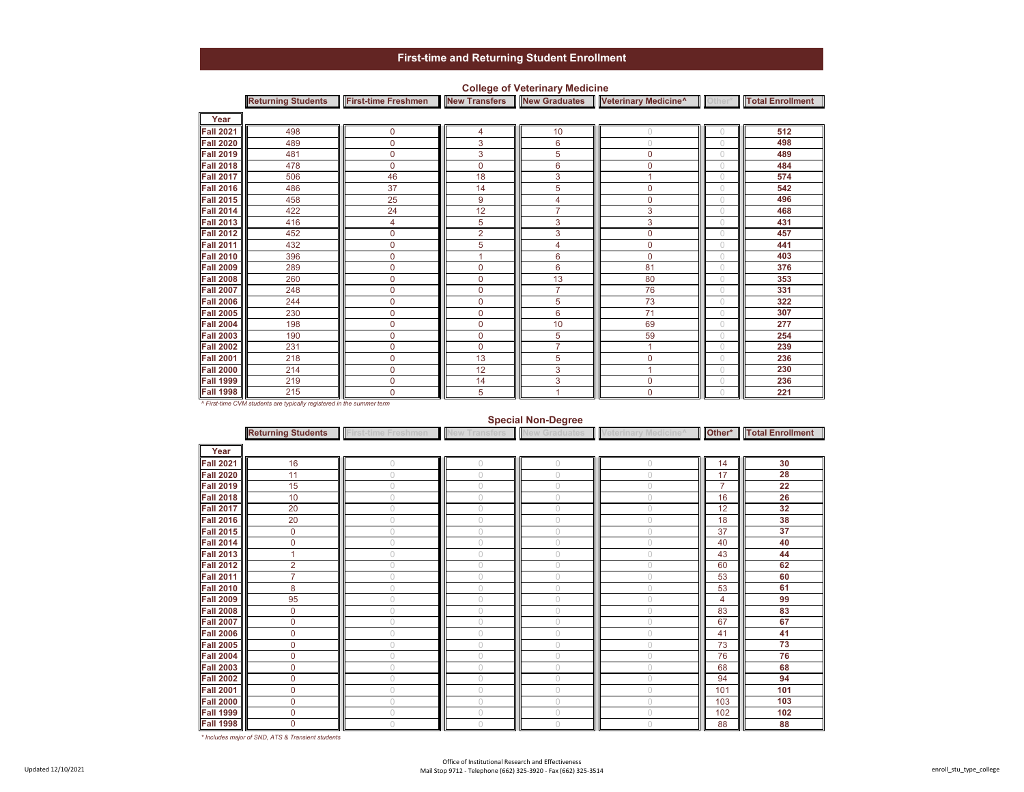|                  | <b>Returning Students</b> | <b>First-time Freshmen</b> | <b>New Transfers</b> | <b>New Graduates</b> | Veterinary Medicine <sup>^</sup> | <b>Other</b> | <b>Total Enrollment</b> |
|------------------|---------------------------|----------------------------|----------------------|----------------------|----------------------------------|--------------|-------------------------|
| Year             |                           |                            |                      |                      |                                  |              |                         |
| <b>Fall 2021</b> | 498                       | 0                          | 4                    | 10                   | 0                                |              | 512                     |
| <b>Fall 2020</b> | 489                       | 0                          | 3                    | 6                    | 0                                | $\cup$       | 498                     |
| <b>Fall 2019</b> | 481                       | 0                          | 3                    | 5                    | 0                                | 0            | 489                     |
| <b>Fall 2018</b> | 478                       | 0                          | $\mathbf 0$          | 6                    | 0                                | $\cup$       | 484                     |
| <b>Fall 2017</b> | 506                       | 46                         | 18                   | 3                    |                                  | $\cup$       | 574                     |
| <b>Fall 2016</b> | 486                       | 37                         | 14                   | 5                    | $\mathbf 0$                      | $\cup$       | 542                     |
| <b>Fall 2015</b> | 458                       | 25                         | 9                    | 4                    | 0                                | 0            | 496                     |
| <b>Fall 2014</b> | 422                       | 24                         | 12                   | $\overline{7}$       | 3                                | $\bigcap$    | 468                     |
| <b>Fall 2013</b> | 416                       | 4                          | 5                    | 3                    | 3                                | $\cup$       | 431                     |
| <b>Fall 2012</b> | 452                       | 0                          | $\overline{2}$       | 3                    | $\mathbf{0}$                     | $\circ$      | 457                     |
| <b>Fall 2011</b> | 432                       | 0                          | 5                    | 4                    | $\Omega$                         | $\cup$       | 441                     |
| <b>Fall 2010</b> | 396                       | $\overline{0}$             |                      | 6                    | $\Omega$                         |              | 403                     |
| <b>Fall 2009</b> | 289                       | $\mathbf 0$                | $\mathbf{0}$         | 6                    | 81                               | $\cup$       | 376                     |
| <b>Fall 2008</b> | 260                       | 0                          | $\mathbf{0}$         | 13                   | 80                               | $\cup$       | 353                     |
| <b>Fall 2007</b> | 248                       | $\overline{0}$             | $\mathbf{0}$         | $\overline{7}$       | 76                               | $\circ$      | 331                     |
| <b>Fall 2006</b> | 244                       | 0                          | $\mathbf 0$          | 5                    | 73                               | $\cup$       | 322                     |
| <b>Fall 2005</b> | 230                       | 0                          | 0                    | 6                    | 71                               | $\cap$       | 307                     |
| <b>Fall 2004</b> | 198                       | 0                          | $\mathbf 0$          | 10                   | 69                               | $\cup$       | 277                     |
| <b>Fall 2003</b> | 190                       | 0                          | $\mathbf{0}$         | 5                    | 59                               | $\cup$       | 254                     |
| <b>Fall 2002</b> | 231                       | 0                          | $\mathbf 0$          | $\overline{7}$       | 1                                | $\cup$       | 239                     |
| <b>Fall 2001</b> | 218                       | $\mathbf 0$                | 13                   | 5                    | $\mathbf 0$                      | $\cup$       | 236                     |
| <b>Fall 2000</b> | 214                       | $\mathbf 0$                | 12                   | 3                    | 4                                |              | 230                     |
| <b>Fall 1999</b> | 219                       | $\overline{0}$             | 14                   | 3                    | $\mathbf{0}$                     | $\cup$       | 236                     |
| <b>Fall 1998</b> | 215                       | 0                          | 5                    |                      | $\mathbf 0$                      |              | 221                     |

### **College of Veterinary Medicine**

*^ First-time CVM students are typically registered in the summer term*

#### **Special Non-Degree**

|                  | <b>Returning Students</b> | <b>First-time Freshmen</b> | <b>New Transfers</b> | <b>New Graduates</b> | Veterinary Medicine^ |                | <b>Other*</b> Total Enrollment |
|------------------|---------------------------|----------------------------|----------------------|----------------------|----------------------|----------------|--------------------------------|
| Year             |                           |                            |                      |                      |                      |                |                                |
| <b>Fall 2021</b> | 16                        | $\cup$                     | $\bigcap$            | $\Omega$             | Ω                    | 14             | 30                             |
| <b>Fall 2020</b> | 11                        | $\cup$                     | $\bigcap$            | $\bigcap$            | O                    | 17             | 28                             |
| <b>Fall 2019</b> | 15                        | $\cup$                     | $\bigcirc$           | $\bigcirc$           | $\bigcap$            | $\overline{7}$ | 22                             |
| <b>Fall 2018</b> | 10                        | 0                          | $\bigcap$            | $\Omega$             | $\cup$               | 16             | 26                             |
| <b>Fall 2017</b> | 20                        | $\cup$                     | $\bigcap$            | $\Omega$             | $\bigcap$            | 12             | 32                             |
| <b>Fall 2016</b> | 20                        | $\cup$                     | $\bigcap$            | $\Omega$             | $\bigcap$            | 18             | 38                             |
| <b>Fall 2015</b> | $\mathbf 0$               | 0                          | $\cup$               |                      | $\cup$               | 37             | 37                             |
| <b>Fall 2014</b> | 0                         | $\cup$                     | $\cup$               | $\bigcirc$           | $\cup$               | 40             | 40                             |
| <b>Fall 2013</b> |                           | 0                          | $\cup$               | $\bigcap$            | O                    | 43             | 44                             |
| <b>Fall 2012</b> | $\overline{2}$            | $\cup$                     | $\cup$               | $\cup$               | O                    | 60             | 62                             |
| <b>Fall 2011</b> | $\overline{7}$            | 0                          | $\cup$               | $\Omega$             | $\cup$               | 53             | 60                             |
| <b>Fall 2010</b> | 8                         | 0                          | $\circ$              | $\circ$              | $\circ$              | 53             | 61                             |
| <b>Fall 2009</b> | 95                        | $\cup$                     | $\bigcirc$           | $\Omega$             | $\bigcap$            | 4              | 99                             |
| <b>Fall 2008</b> | 0                         |                            | $\bigcap$            |                      | Ω                    | 83             | 83                             |
| <b>Fall 2007</b> | 0                         | $\bigcap$                  | $\bigcap$            | $\Omega$             | $\cap$               | 67             | 67                             |
| <b>Fall 2006</b> | 0                         | 0                          | $\cup$               | $\bigcap$            | O                    | 41             | 41                             |
| <b>Fall 2005</b> | 0                         | 0                          | $\cup$               | $\cup$               | 0                    | 73             | 73                             |
| <b>Fall 2004</b> | 0                         |                            | $\cup$               | $\bigcap$            | O                    | 76             | 76                             |
| <b>Fall 2003</b> | 0                         |                            | $\bigcap$            |                      | n                    | 68             | 68                             |
| <b>Fall 2002</b> | 0                         | $\cup$                     | $\cup$               | $\bigcirc$           | $\bigcap$            | 94             | 94                             |
| <b>Fall 2001</b> | 0                         | 0                          | $\cup$               | $\cup$               | $\bigcap$            | 101            | 101                            |
| <b>Fall 2000</b> | 0                         | $\cup$                     | $\bigcap$            | $\Omega$             | $\bigcap$            | 103            | 103                            |
| <b>Fall 1999</b> | 0                         |                            | $\cup$               | $\cup$               | O                    | 102            | 102                            |
| <b>Fall 1998</b> | 0                         |                            | $\bigcap$            |                      |                      | 88             | 88                             |

*\* Includes major of SND, ATS & Transient students*